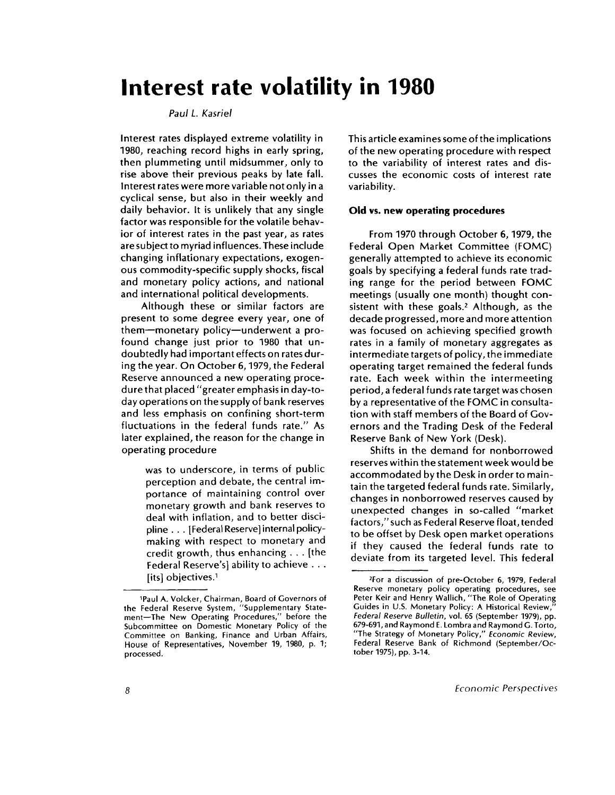# **Interest rate volatility in 1980**

### *Paul L. Kasriel*

Interest rates displayed extreme volatility in 1980, reaching record highs in early spring, then plummeting until midsummer, only to rise above their previous peaks by late fall. Interest rates were more variable not only in a cyclical sense, but also in their weekly and daily behavior. It is unlikely that any single factor was responsible for the volatile behavior of interest rates in the past year, as rates are subject to myriad influences. These include changing inflationary expectations, exogenous commodity-specific supply shocks, fiscal and monetary policy actions, and national and international political developments.

Although these or similar factors are present to some degree every year, one of them—monetary policy—underwent a profound change just prior to 1980 that undoubtedly had important effects on rates during the year. On October 6, 1979, the Federal Reserve announced a new operating procedure that placed "greater emphasis in day-today operations on the supply of bank reserves and less emphasis on confining short-term fluctuations in the federal funds rate." As later explained, the reason for the change in operating procedure

> was to underscore, in terms of public perception and debate, the central importance of maintaining control over monetary growth and bank reserves to deal with inflation, and to better discipline . . . [Federal Reserve] internal policymaking with respect to monetary and credit growth, thus enhancing . . . [the Federal Reserve's] ability to achieve .. . [its] objectives.<sup>1</sup>

This article examines some of the implications of the new operating procedure with respect to the variability of interest rates and discusses the economic costs of interest rate variability.

### **Old vs. new operating procedures**

From 1970 through October 6, 1979, the Federal Open Market Committee (FOMC) generally attempted to achieve its economic goals by specifying a federal funds rate trading range for the period between FOMC meetings (usually one month) thought consistent with these goals.<sup>2</sup> Although, as the decade progressed, more and more attention was focused on achieving specified growth rates in a family of monetary aggregates as intermediate targets of policy, the immediate operating target remained the federal funds rate. Each week within the intermeeting period, a federal funds rate target was chosen by a representative of the FOMC in consultation with staff members of the Board of Governors and the Trading Desk of the Federal Reserve Bank of New York (Desk).

Shifts in the demand for nonborrowed reserves within the statement week would be accommodated by the Desk in order to maintain the targeted federal funds rate. Similarly, changes in nonborrowed reserves caused by unexpected changes in so-called "market factors," such as Federal Reserve float, tended to be offset by Desk open market operations if they caused the federal funds rate to deviate from its targeted level. This federal

<sup>1</sup> Paul A. Volcker, Chairman, Board of Governors of the Federal Reserve System, "Supplementary Statement—The New Operating Procedures," before the Subcommittee on Domestic Monetary Policy of the Committee on Banking, Finance and Urban Affairs, House of Representatives, November 19, 1980, p. 1; processed.

<sup>2</sup> For a discussion of pre-October 6, 1979, Federal Reserve monetary policy operating procedures, see Peter Keir and Henry Wallich, "The Role of Operating Guides in U.S. Monetary Policy: A Historical Review, *Federal Reserve Bulletin,* vol. 65 (September 1979), pp. 679-691, and Raymond E. Lombra and Raymond G. Torto, "The Strategy of Monetary Policy," *Economic Review,* Federal Reserve Bank of Richmond (September/October 1975), pp. 3-14.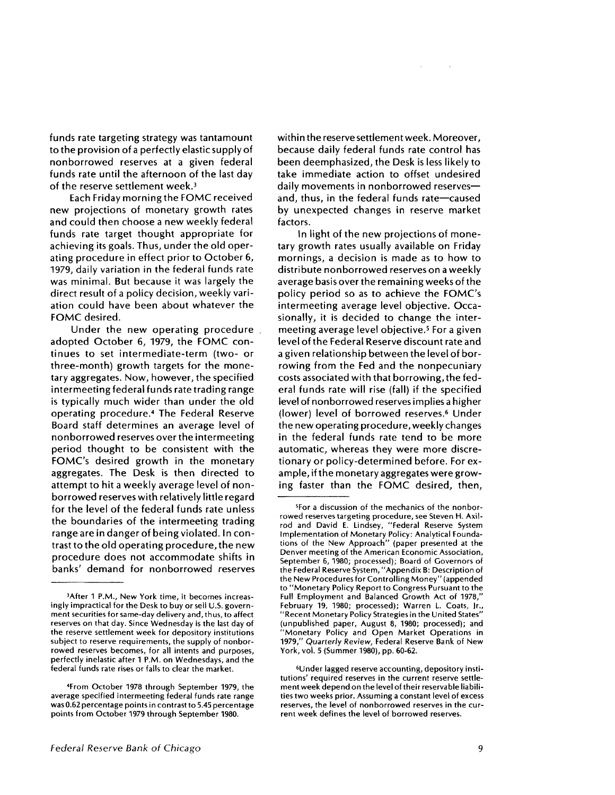funds rate targeting strategy was tantamount to the provision of a perfectly elastic supply of non borrowed reserves at a given federal funds rate until the afternoon of the last day of the reserve settlement week.<sup>3</sup>

Each Friday morning the FOMC received new projections of monetary growth rates and could then choose a new weekly federal funds rate target thought appropriate for achieving its goals. Thus, under the old operating procedure in effect prior to October 6, 1979, daily variation in the federal funds rate was minimal. But because it was largely the direct result of a policy decision, weekly variation could have been about whatever the FOMC desired.

Under the new operating procedure adopted October 6, 1979, the FOMC continues to set intermediate-term (two- or three-month) growth targets for the monetary aggregates. Now, however, the specified intermeeting federal funds rate trading range is typically much wider than under the old operating procedure.<sup>4</sup> The Federal Reserve Board staff determines an average level of nonborrowed reserves over the intermeeting period thought to be consistent with the FOMC's desired growth in the monetary aggregates. The Desk is then directed to attempt to hit a weekly average level of nonborrowed reserves with relatively little regard for the level of the federal funds rate unless the boundaries of the intermeeting trading range are in danger of being violated. In contrast to the old operating procedure, the new procedure does not accommodate shifts in banks' demand for nonborrowed reserves

within the reserve settlement week. Moreover, because daily federal funds rate control has been deemphasized, the Desk is less likely to take immediate action to offset undesired daily movements in nonborrowed reserves and, thus, in the federal funds rate—caused by unexpected changes in reserve market factors.

In light of the new projections of monetary growth rates usually available on Friday mornings, a decision is made as to how to distribute nonborrowed reserves on a weekly average basis over the remaining weeks of the policy period so as to achieve the FOMC's intermeeting average level objective. Occasionally, it is decided to change the intermeeting average level objective.<sup>5</sup> For a given level of the Federal Reserve discount rate and a given relationship between the level of borrowing from the Fed and the nonpecuniary costs associated with that borrowing, the federal funds rate will rise (fall) if the specified level of nonborrowed reserves implies a higher (lower) level of borrowed reserves.<sup>6</sup> Under the new operating procedure, weekly changes in the federal funds rate tend to be more automatic, whereas they were more discretionary or policy-determined before. For example, if the monetary aggregates were growing faster than the FOMC desired, then,

<sup>3</sup>After 1 P.M., New York time, it becomes increasingly impractical for the Desk to buy or sell U.S. government securities for same-day delivery and, thus, to affect reserves on that day. Since Wednesday is the last day of the reserve settlement week for depository institutions subject to reserve requirements, the supply of nonborrowed reserves becomes, for all intents and purposes, perfectly inelastic after 1 P.M. on Wednesdays, and the federal funds rate rises or falls to clear the market.

<sup>4</sup> From October 1978 through September 1979, the average specified intermeeting federal funds rate range was 0.62 percentage points in contrast to 5.45 percentage points from October 1979 through September 1980.

<sup>5</sup> For a discussion of the mechanics of the nonborrowed reserves targeting procedure, see Steven **H.** Axilrod and David E. Lindsey, "Federal Reserve System Implementation of Monetary Policy: Analytical Foundations of the New Approach" (paper presented at the Denver meeting of the American Economic Association, September 6, 1980; processed); Board of Governors of the Federal Reserve System, "Appendix B: Description of the New Procedures for Controlling Money" (appended to "Monetary Policy Report to Congress Pursuant to the Full Employment and Balanced Growth Act of 1978,' February 19, 1980; processed); Warren L. Coats, Jr., "Recent Monetary Policy Strategies in the United States" (unpublished paper, August 8, 1980; processed); and "Monetary Policy and Open Market Operations in 1979," *Quarterly Review,* Federal Reserve Bank of New York, vol. 5 (Summer 1980), pp. 60-62.

<sup>6</sup>U nder lagged reserve accounting, depository institutions' required reserves in the current reserve settlement week depend on the level of their reservable liabilities two weeks prior. Assuming a constant level of excess reserves, the level of nonborrowed reserves in the current week defines the level of borrowed reserves.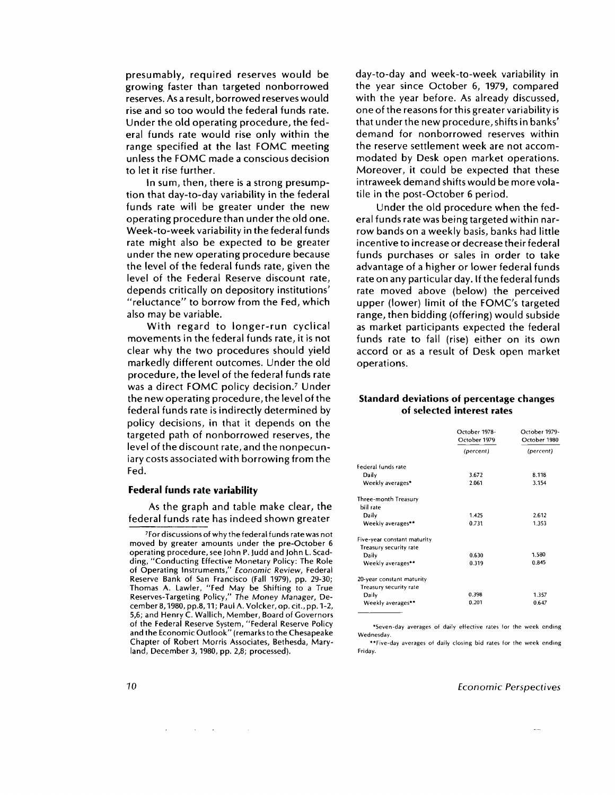presumably, required reserves would be growing faster than targeted nonborrowed reserves. As a result, borrowed reserves would rise and so too would the federal funds rate. Under the old operating procedure, the federal funds rate would rise only within the range specified at the last FOMC meeting unless the FOMC made a conscious decision to let it rise further.

In sum, then, there is a strong presumption that day-to-day variability in the federal funds rate will be greater under the new operating procedure than under the old one. Week-to-week variability in the federal funds rate might also be expected to be greater under the new operating procedure because the level of the federal funds rate, given the level of the Federal Reserve discount rate, depends critically on depository institutions' "reluctance" to borrow from the Fed, which also may be variable.

With regard to longer-run cyclical movements in the federal funds rate, it is not clear why the two procedures should yield markedly different outcomes. Under the old procedure, the level of the federal funds rate was a direct FOMC policy decision.<sup>7</sup> Under the new operating procedure, the level of the federal funds rate is indirectly determined by policy decisions, in that it depends on the targeted path of nonborrowed reserves, the level of the discount rate, and the nonpecuniary costs associated with borrowing from the Fed.

### **Federal funds rate variability**

As the graph and table make clear, the federal funds rate has indeed shown greater

 $\sim 10^{-10}$  m  $^{-1}$ 

day-to-day and week-to-week variability in the year since October 6, 1979, compared with the year before. As already discussed, one of the reasons for this greater variability is that under the new procedure, shifts in banks' demand for nonborrowed reserves within the reserve settlement week are not accommodated by Desk open market operations. Moreover, it could be expected that these intraweek demand shifts would be more volatile in the post-October 6 period.

Under the old procedure when the federal funds rate was being targeted within narrow bands on a weekly basis, banks had little incentive to increase or decrease their federal funds purchases or sales in order to take advantage of a higher or lower federal funds rate on any particular day. If the federal funds rate moved above (below) the perceived upper (lower) limit of the FOMC's targeted range, then bidding (offering) would subside as market participants expected the federal funds rate to fall (rise) either on its own accord or as a result of Desk open market operations.

### **Standard deviations of percentage changes of selected interest rates**

|                             | October 1978-<br>October 1979 | October 1979-<br>October 1980 |  |
|-----------------------------|-------------------------------|-------------------------------|--|
|                             | (percent)                     | (percent)                     |  |
| Federal funds rate          |                               |                               |  |
| Daily                       | 3.672                         | 8.118                         |  |
| Weekly averages*            | 2.061                         | 3.154                         |  |
| Three-month Treasury        |                               |                               |  |
| bill rate                   |                               |                               |  |
| Daily                       | 1.425                         | 2.612                         |  |
| Weekly averages**           | 0.731                         | 1.353                         |  |
| Five-year constant maturity |                               |                               |  |
| Treasury security rate      |                               |                               |  |
| Daily                       | 0.630                         | 1.580                         |  |
| Weekly averages**           | 0.319                         | 0.845                         |  |
| 20-year constant maturity   |                               |                               |  |
| Treasury security rate      |                               |                               |  |
| Daily                       | 0.398                         | 1.357                         |  |
| Weekly averages**           | 0.201                         | 0.647                         |  |
|                             |                               |                               |  |

\*Seven-day averages of daily effective rates for the week ending Wednesday.

"Five-day averages of daily closing bid rates for the week ending Friday.

### *10 Economic Perspectives*

<sup>7</sup> For discussions of why the federal funds rate was not moved by greater amounts under the pre-October 6 operating procedure, see John P. Judd and John L. Scadding, "Conducting Effective Monetary Policy: The Role of Operating Instruments," *Economic Review,* Federal Reserve Bank of San Francisco (Fall 1979), pp. 29-30; Thomas A. Lawler, "Fed May be Shifting to a True Reserves-Targeting Policy," *The* Money Manager, December 8, 1980, pp.8, 11; Paul A. Volcker, op. cit., pp. 1-2, 5,6; and Henry C. Wallich, Member, Board of Governors of the Federal Reserve System, "Federal Reserve Policy and the Economic Outlook" (remarks to the Chesapeake Chapter of Robert Morris Associates, Bethesda, Maryland, December 3, 1980, pp. 2,8; processed).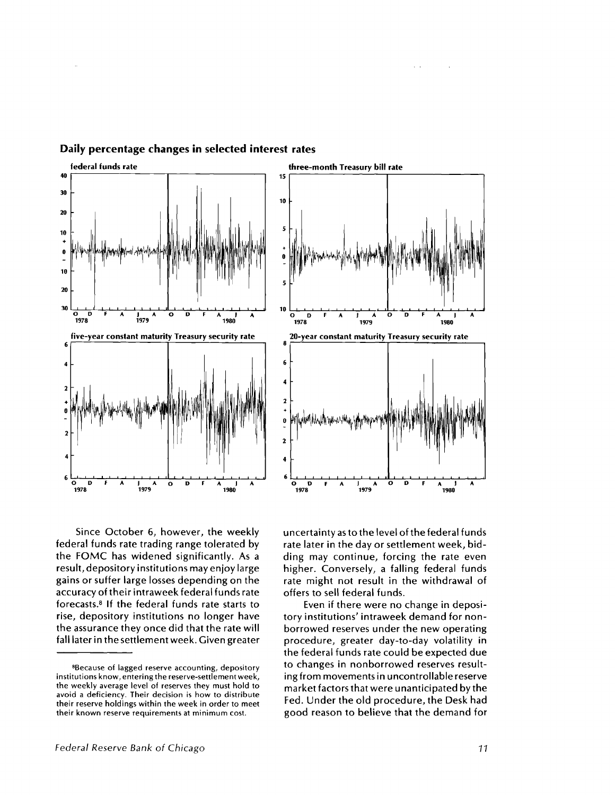

**Daily percentage changes in selected interest rates**

Since October 6, however, the weekly federal funds rate trading range tolerated by the FOMC has widened significantly. As a result, depository institutions may enjoy large gains or suffer large losses depending on the accuracy of their intraweek federal funds rate forecasts. <sup>8</sup> If the federal funds rate starts to rise, depository institutions no longer have the assurance they once did that the rate will fall later in the settlement week. Given greater uncertainty as to the level of the federal funds rate later in the day or settlement week, bidding may continue, forcing the rate even higher. Conversely, a falling federal funds rate might not result in the withdrawal of offers to sell federal funds.

Even if there were no change in depository institutions' intraweek demand for nonborrowed reserves under the new operating procedure, greater day-to-day volatility in the federal funds rate could be expected due to changes in nonborrowed reserves resulting from movements in uncontrollable reserve market factors that were unanticipated by the Fed. Under the old procedure, the Desk had good reason to believe that the demand for

<sup>&</sup>lt;sup>8</sup>Because of lagged reserve accounting, depository institutions know, entering the reserve-settlement week, the weekly average level of reserves they must hold to avoid a deficiency. Their decision is how to distribute their reserve holdings within the week in order to meet their known reserve requirements at minimum cost.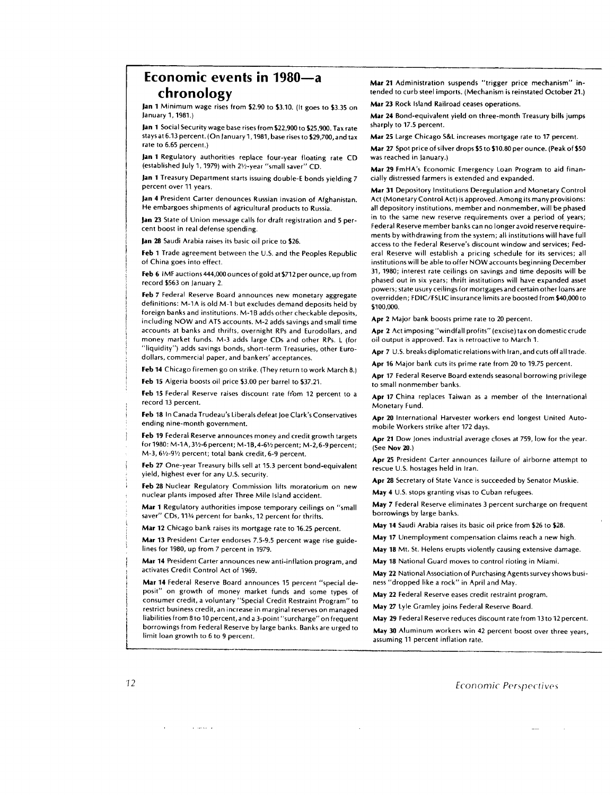## **Economic events in 1980—a chronology**

**Jan 1** Minimum wage rises from \$2.90 to \$3.10. (It goes to \$3.35 on January 1, 1981.)

**Jan 1** Social Security wage base rises from \$22,900 to \$25,900. Tax rate stays at 6.13 percent. (On January 1, 1981, base rises to \$29,700,and tax rate to 6.65 percent.)

**Jan 1** Regulatory authorities replace four-year floating rate CD (established July 1, 1979) with 21/2-year "small saver" CD.

**Jan 1** Treasury Department starts issuing double-E bonds yielding 7 percent over 11 years.

**Jan 4** President Carter denounces Russian invasion of Afghanistan. He embargoes shipments of agricultural products to Russia.

**Jan 23** State of Union message calls for draft registration and 5 percent boost in real defense spending.

**Jan 28** Saudi Arabia raises its basic oil price to \$26.

**Feb 1** Trade agreement between the U.S. and the Peoples Republic of China goes into effect.

**Feb 6** IMF auctions 444,000 ounces of gold at \$712 per ounce, up from record \$563 on January 2.

**Feb 7** Federal Reserve Board announces new monetary aggregate definitions: M-1A is old M-1 but excludes demand deposits held by foreign banks and institutions. M-1B adds other checkable deposits, including NOW and ATS accounts. M-2 adds savings and small time accounts at banks and thrifts, overnight RPs and Eurodollars, and money market funds. M-3 adds large CDs and other RPs. L (for "liquidity") adds savings bonds, short-term Treasuries, other Eurodollars, commercial paper, and bankers' acceptances.

**Feb 14** Chicago firemen go on strike. (They return to work March 8.)

**Feb 15** Algeria boosts oil price \$3.00 per barrel to \$37.21.

Feb 15 Federal Reserve raises discount rate from 12 percent to a record 13 percent.

**Feb 18** In Canada Trudeau's Liberals defeat Joe Clark's Conservatives ending nine-month government.

**Feb 19** Federal Reserve announces money and credit growth targets for 1980: M-1A, 3 <sup>1</sup>/2-6 percent; M-18,4-61/2 percent; M-2,6-9 percent; M-3, 61/2-91/2 percent; total bank credit, 6-9 percent.

**Feb 27** One-year Treasury bills sell at 15.3 percent bond-equivalent yield, highest ever for any U.S. security.

**Feb 28** Nuclear Regulatory Commission lifts moratorium on new nuclear plants imposed after Three Mile Island accident.

**Mar 1** Regulatory authorities impose temporary ceilings on "small saver" CDs, 111/4 percent for banks, 12 percent for thrifts.

**Mar 12** Chicago bank raises its mortgage rate to 16.25 percent.

**Mar 13** President Carter endorses 7.5-9.5 percent wage rise guidelines for 1980, up from 7 percent in 1979.

**Mar 14** President Carter announces new anti-inflation program, and activates Credit Control Act of 1969.

**Mar 14** Federal Reserve Board announces 15 percent "special deposit" on growth of money market funds and some types of consumer credit, a voluntary "Special Credit Restraint Program" to restrict business credit, an increase in marginal reserves on managed liabilities from 8 to 10 percent, and a 3-point "surcharge" on frequent borrowings from Federal Reserve by large banks. Banks are urged to limit loan growth to 6 to 9 percent.

**Mar 21** Administration suspends "trigger price mechanism" intended to curb steel imports. (Mechanism is reinstated October 21.)

**Mar 23** Rock Island Railroad ceases operations.

**Mar 24** Bond-equivalent yield on three-month Treasury bills jumps sharply to 17.5 percent.

**Mar 25** Large Chicago S&L increases mortgage rate to 17 percent.

**Mar 27** Spot price of silver drops \$5 to \$10.80 per ounce. (Peak of \$50 was reached in January.)

**Mar 29** FmHA's Economic Emergency Loan Program to aid financially distressed farmers is extended and expanded.

**Mar 31** Depository Institutions Deregulation and Monetary Control Act (Monetary Control Act) is approved. Among its many provisions: all depository institutions, member and nonmember, will be phased in to the same new reserve requirements over a period of years; Federal Reserve member banks can no longer avoid reserve requirements by withdrawing from the system; all institutions will have full access to the Federal Reserve's discount window and services; Federal Reserve will establish a pricing schedule for its services; all institutions will be able to offer NOW accounts beginning December 31, 1980; interest rate ceilings on savings and time deposits will be phased out in six years; thrift institutions will have expanded asset powers; state usury ceilings for mortgages and certain other loans are overridden; FDIC/FSLIC insurance limits are boosted from \$40,000 to \$100,000.

**Apr 2** Major bank boosts prime rate to 20 percent.

**Apr 2** Act imposing "windfall profits" (excise) tax on domestic crude oil output is approved. Tax is retroactive to March 1.

**Apr 7** U.S. breaks diplomatic relations with Iran, and cuts off all trade.

**Apr 16** Major bank cuts its prime rate from 20 to 19.75 percent.

**Apr 17** Federal Reserve Board extends seasonal borrowing privilege to small nonmember banks.

**Apr 17** China replaces Taiwan as a member of the International Monetary Fund.

**Apr 20** International Harvester workers end longest United Automobile Workers strike after 172 days.

**Apr 21** Dow Jones industrial average closes at 759, low for the year. (See **Nov 20.)**

**Apr 25** President Carter announces failure of airborne attempt to rescue U.S. hostages held in Iran.

**Apr 28** Secretary of State Vance is succeeded by Senator Muskie.

**May 4** U.S. stops granting visas to Cuban refugees.

**May 7** Federal Reserve eliminates 3 percent surcharge on frequent borrowings by large banks.

**May 14** Saudi Arabia raises its basic oil price from \$26 to \$28.

**May 17** Unemployment compensation claims reach a new high.

**May 18** Mt. St. Helens erupts violently causing extensive damage.

**May 18** National Guard moves to control rioting in Miami.

**May 22** National Association of Purchasing Agents survey shows business "dropped like a rock" in April and May.

**May 22** Federal Reserve eases credit restraint program.

**May 27** Lyle Gramley joins Federal Reserve Board.

**May 29** Federal Reserve reduces discount rate from 13 to 12 percent.

**May 30** Aluminum workers win 42 percent boost over three years, assuming 11 percent inflation rate.

*12 Economic Perspectives*

 $\hat{I}$  , as we as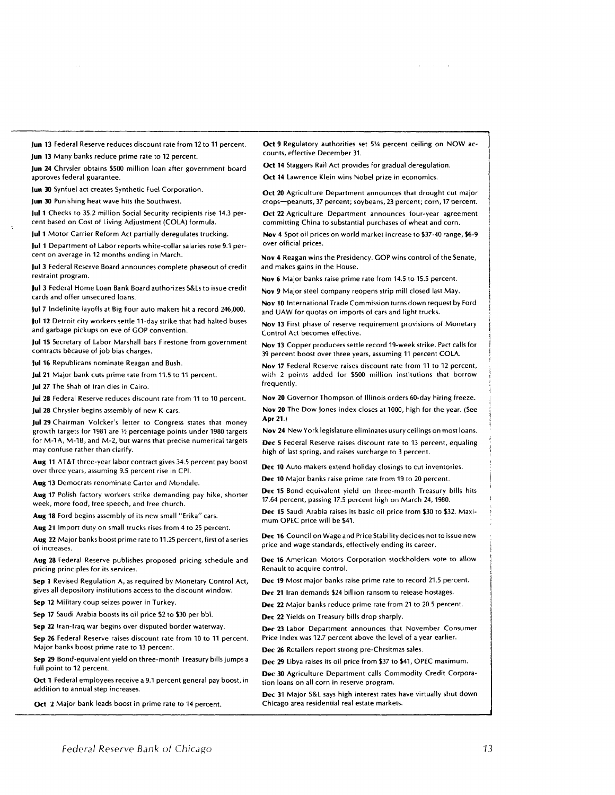**Jun 13** Federal Reserve reduces discount rate from 12 to 11 percent.

**Jun 13** Many banks reduce prime rate to 12 percent.

 $\sim$   $\sim$ 

**Jun 24** Chrysler obtains \$500 million loan after government board approves federal guarantee.

**Jun 30** Synfuel act creates Synthetic Fuel Corporation.

**Jun 30** Punishing heat wave hits the Southwest.

**Jul 1** Checks to 35.2 million Social Security recipients rise 14.3 percent based on Cost of Living Adjustment (COLA) formula.

**Jul 1** Motor Carrier Reform Act partially deregulates trucking.

**Jul 1** Department of Labor reports white-collar salaries rose 9.1 percent on average in 12 months ending in March.

**Jul 3** Federal Reserve Board announces complete phaseout of credit restraint program.

Jul 3 Federal Home Loan Bank Board authorizes S&Ls to issue credit cards and offer unsecured loans.

**Jul 7** Indefinite layoffs at Big Four auto makers hit a record 246,000. **Jul 12** Detroit city workers settle 11-day strike that had halted buses and garbage pickups on eve of GOP convention.

**Jul 15** Secretary of Labor Marshall bars Firestone from government contracts because of job bias charges.

**Jul 16** Republicans nominate Reagan and Bush.

**Jul 21** Major bank cuts prime rate from 11.5 to 11 percent.

**Jul 27** The Shah of Iran dies in Cairo.

**Jul 28** Federal Reserve reduces discount rate from 11 to 10 percent.

**Jul 28** Chrysler begins assembly of new K-cars.

**Jul 29** Chairman Volcker's letter to Congress states that money growth targets for 1981 are  $\frac{1}{2}$  percentage points under 1980 targets for M-1A, M-1B, and M-2, but warns that precise numerical targets may confuse rather than clarify.

**Aug 11** AT&T three-year labor contract gives 34.5 percent pay boost over three years, assuming 9.5 percent rise in CPI.

**Aug 13** Democrats renominate Carter and Mondale.

**Aug 17** Polish factory workers strike demanding pay hike, shorter week, more food, free speech, and free church.

**Aug 18** Ford begins assembly of its new small "Erika" cars.

**Aug 21** Import duty on small trucks rises from 4 to 25 percent.

**Aug 22** Major banks boost prime rate to 11.25 percent, first of a series of increases.

**Aug 28** Federal Reserve publishes proposed pricing schedule and pricing principles for its services.

**Sep 1** Revised Regulation A, as required by Monetary Control Act, gives all depository institutions access to the discount window.

**Sep 12** Military coup seizes power in Turkey.

**Sep 17** Saudi Arabia boosts its oil price \$2 to \$30 per bbl.

**Sep 22 Iran- Iraq** war begins over disputed border waterway. **Sep 26** Federal Reserve raises discount rate from 10 to 11 percent.

Major banks boost prime rate to 13 percent.

**Sep 29** Bond-equivalent yield on three-month Treasury bills jumps a full point to 12 percent.

Oct **1** Federal employees receive a 9.1 percent general pay boost, in addition to annual step increases.

**Oct 2** Major bank leads boost in prime rate to 14 percent.

**Oct 9** Regulatory authorities set 5% percent ceiling on NOW accounts, effective December 31.

and the control of

**Oct 14** Staggers Rail Act provides for gradual deregulation.

**Oct 14** Lawrence Klein wins Nobel prize in economics.

**Oct 20** Agriculture Department announces that drought cut major crops—peanuts, 37 percent; soybeans, 23 percent; corn, 17 percent.

**Oct 22 Agriculture Department announces four-year agreement** committing China to substantial purchases of wheat and corn.

**Nov 4** Spot oil prices on world market increase to \$37-40 range, \$6-9 over official prices.

**Nov 4** Reagan wins the Presidency. GOP wins control of the Senate, and makes gains in the House.

**Nov 6** Major banks raise prime rate from 14.5 to 15.5 percent.

**Nov 9** Major steel company reopens strip mill closed last May.

**Nov 10** International Trade Commission turns down request by Ford and UAW for quotas on imports of cars and light trucks.

**Nov 13** First phase of reserve requirement provisions of Monetary Control Act becomes effective.

**Nov 13** Copper producers settle record 19-week strike. Pact calls for 39 percent boost over three years, assuming 11 percent COLA.

**Nov 17** Federal Reserve raises discount rate from 11 to 12 percent, with 2 points added for \$500 million institutions that borrow frequently.

**Nov 20** Governor Thompson of Illinois orders 60-day hiring freeze. **Nov 20** The Dow Jones index closes at 1000, high for the year. (See **Apr 21.)**

**Nov 24** New York legislature eliminates usury ceilings on most loans. *Dec* 5 Federal Reserve raises discount rate to 13 percent, equaling high of last spring, and raises surcharge to 3 percent.

**Dec 10** Auto makers extend holiday closings to cut inventories.

**Dec 10** Major banks raise prime rate from 19 to 20 percent.

**Dec 15** Bond-equivalent yield on three-month Treasury bills hits 17.64 percent, passing 17.5 percent high on March 24, 1980.

**Dec 15** Saudi Arabia raises its basic oil price from \$30 to \$32. Maximum OPEC price will be \$41.

**Dec 16** Council on Wage and Price Stability decides not to issue new price and wage standards, effectively ending its career.

**Dec 16** American Motors Corporation stockholders vote to allow Renault to acquire control.

**Dec 19** Most major banks raise prime rate to record 21.5 percent.

**Dec 21** Iran demands \$24 billion ransom to release hostages.

**Dec 22** Major banks reduce prime rate from 21 to 20.5 percent.

**Dec 22** Yields on Treasury bills drop sharply.

**Dec 23** Labor Department announces that November Consumer Price Index was 12.7 percent above the level of a year earlier.

**Dec 26** Retailers report strong pre-Chrsitmas sales.

**Dec 29** Libya raises its oil price from \$37 to \$41, OPEC maximum.

**Dec 30** Agriculture Department calls Commodity Credit Corporation loans on all corn in reserve program.

**Dec** 31 Major S&L says high interest rates have virtually shut down Chicago area residential real estate markets.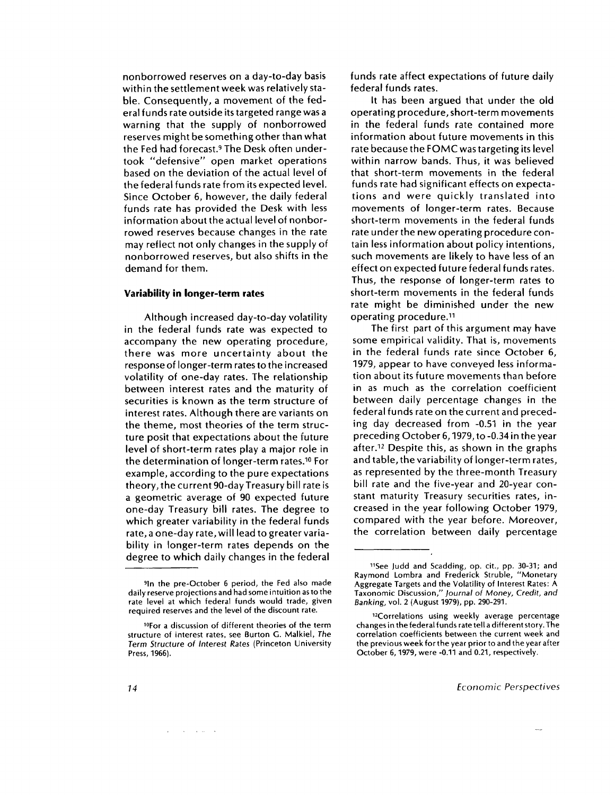nonborrowed reserves on a day-to-day basis within the settlement week was relatively stable. Consequently, a movement of the federal funds rate outside its targeted range was a warning that the supply of nonborrowed reserves might be something other than what the Fed had forecast.<sup>9</sup> The Desk often undertook "defensive" open market operations based on the deviation of the actual level of the federal funds rate from its expected level. Since October 6, however, the daily federal funds rate has provided the Desk with less information about the actual level of nonborrowed reserves because changes in the rate may reflect not only changes in the supply of nonborrowed reserves, but also shifts in the demand for them.

### **Variability in longer-term rates**

Although increased day-to-day volatility in the federal funds rate was expected to accompany the new operating procedure, there was more uncertainty about the response of longer-term rates to the increased volatility of one-day rates. The relationship between interest rates and the maturity of securities is known as the term structure of interest rates. Although there are variants on the theme, most theories of the term structure posit that expectations about the future level of short-term rates play a major role in the determination of longer-term rates. <sup>10</sup> For example, according to the pure expectations theory, the current 90-day Treasury bill rate is a geometric average of 90 expected future one-day Treasury bill rates. The degree to which greater variability in the federal funds rate, a one-day rate, will lead to greater variability in longer-term rates depends on the degree to which daily changes in the federal funds rate affect expectations of future daily federal funds rates.

It has been argued that under the old operating procedure, short-term movements in the federal funds rate contained more information about future movements in this rate because the FOMC was targeting its level within narrow bands. Thus, it was believed that short-term movements in the federal funds rate had significant effects on expectations and were quickly translated into movements of longer-term rates. Because short-term movements in the federal funds rate under the new operating procedure contain less information about policy intentions, such movements are likely to have less of an effect on expected future federal funds rates. Thus, the response of longer-term rates to short-term movements in the federal funds rate might be diminished under the new operating procedure.<sup>11</sup>

The first part of this argument may have some empirical validity. That is, movements in the federal funds rate since October 6, 1979, appear to have conveyed less information about its future movements than before in as much as the correlation coefficient between daily percentage changes in the federal funds rate on the current and preceding day decreased from -0.51 in the year preceding October 6, 1979, to -0.34 in the year after. <sup>12</sup> Despite this, as shown in the graphs and table, the variability of longer-term rates, as represented by the three-month Treasury bill rate and the five-year and 20-year constant maturity Treasury securities rates, increased in the year following October 1979, compared with the year before. Moreover, the correlation between daily percentage

<sup>9</sup> In the pre-October 6 period, the Fed also made daily reserve projections and had some intuition as to the rate level at which federal funds would trade, given required reserves and the level of the discount rate.

<sup>&</sup>lt;sup>10</sup>For a discussion of different theories of the term structure of interest rates, see Burton G. Malkiel, *The Term* Structure *of Interest* Rates (Princeton University Press, 1966).

<sup>11</sup> See Judd and Scadding, op. cit., pp. 30-31; and Raymond Lombra and Frederick Struble, "Monetary Aggregate Targets and the Volatility of Interest Rates: A Taxonomic Discussion," *Journal of Money, Credit, and Banking,* vol. 2 (August 1979), pp. 290-291.

<sup>12</sup>Correlations using weekly average percentage changes in the federal funds rate tell a different story. The correlation coefficients between the current week and the previous week for the year prior to and the year after October 6, 1979, were -0.11 and 0.21, respectively.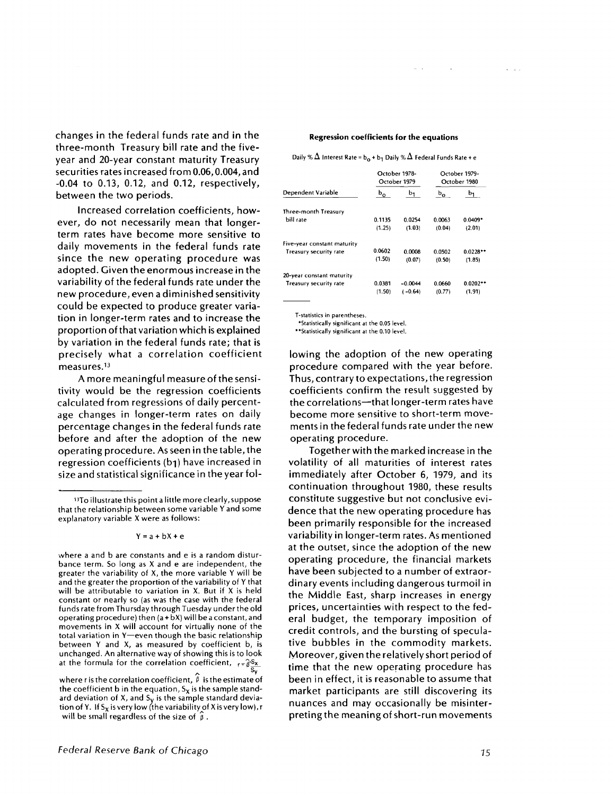changes in the federal funds rate and in the three-month Treasury bill rate and the fiveyear and 20-year constant maturity Treasury securities rates increased from 0.06, 0.004, and -0.04 to 0.13, 0.12, and 0.12, respectively, between the two periods.

Increased correlation coefficients, however, do not necessarily mean that longerterm rates have become more sensitive to daily movements in the federal funds rate since the new operating procedure was adopted. Given the enormous increase in the variability of the federal funds rate under the new procedure, even a diminished sensitivity could be expected to produce greater variation in longer-term rates and to increase the proportion of that variation which is explained by variation in the federal funds rate; that is precisely what a correlation coefficient measures.<sup>13</sup>

A more meaningful measure of the sensitivity would be the regression coefficients calculated from regressions of daily percentage changes in longer-term rates on daily percentage changes in the federal funds rate before and after the adoption of the new operating procedure. As seen in the table, the regression coefficients (b1) have increased in size and statistical significance in the year fol-

where a and b are constants and e is a random disturbance term. So long as X and e are independent, the greater the variability of X, the more variable Y will be and the greater the proportion of the variability of Y that will be attributable to variation in X. But if X is held constant or nearly so (as was the case with the federal funds rate from Thursday through Tuesday under the old operating procedure) then (a + bX) will be a constant, and movements in X will account for virtually none of the total variation in Y—even though the basic relationship between Y and X, as measured by coefficient b, is unchanged. An alternative way of showing this is to look at the formula for the correlation coefficient,  $r = \hat{g}S_x$  $\overline{s_\mathsf{v}}$ 

where r is the correlation coefficient,  $\hat{\beta}$  is the estimate of the coefficient b in the equation,  $S_x$  is the sample standard deviation of X, and  $S_V$  is the sample standard deviation of Y. If S<sub>x</sub> is very low (the variability of X is very low), r will be small regardless of the size of  $\hat{\beta}$ .

#### **Regression coefficients for the equations**

Daily %  $\Delta$  Interest Rate = b<sub>o</sub> + b<sub>1</sub> Daily %  $\Delta$  Federal Funds Rate + e

| Dependent Variable            | October 1978-<br>October 1979 |                | October 1979-<br>October 1980 |                |
|-------------------------------|-------------------------------|----------------|-------------------------------|----------------|
|                               | $b_{o}$                       | b <sub>1</sub> | $b_{\alpha}$                  | b <sub>1</sub> |
| Three-month Treasury          |                               |                |                               |                |
| bill rate                     | 0.1135                        | 0.0254         | 0.0063                        | $0.0409*$      |
|                               | (1.25)                        | (1.03)         | (0.04)                        | (2.01)         |
| Five-year constant maturity   |                               |                |                               |                |
| <b>Treasury security rate</b> | 0.0602                        | 0.0008         | 0.0502                        | $0.0228**$     |
|                               | (1.50)                        | (0.07)         | (0.50)                        | (1.85)         |
| 20-year constant maturity     |                               |                |                               |                |
| Treasury security rate        | 0.0381                        | $-0.0044$      | 0.0660                        | $0.0202$ **    |
|                               | (1.50)                        | ( -0.64)       | (0.77)                        | (1.91)         |

T-statistics in parentheses. 'Statistically significant at the 0.05 level.

"Statistically significant at the 0.10 level.

lowing the adoption of the new operating procedure compared with the year before. Thus, contrary to expectations, the regression coefficients confirm the result suggested by the correlations—that longer-term rates have become more sensitive to short-term movements in the federal funds rate under the new operating procedure.

Together with the marked increase in the volatility of all maturities of interest rates immediately after October 6, 1979, and its continuation throughout 1980, these results constitute suggestive but not conclusive evidence that the new operating procedure has been primarily responsible for the increased variability in longer-term rates. As mentioned at the outset, since the adoption of the new operating procedure, the financial markets have been subjected to a number of extraordinary events including dangerous turmoil in the Middle East, sharp increases in energy prices, uncertainties with respect to the federal budget, the temporary imposition of credit controls, and the bursting of speculative bubbles in the commodity markets. Moreover, given the relatively short period of time that the new operating procedure has been in effect, it is reasonable to assume that market participants are still discovering its nuances and may occasionally be misinterpreting the meaning of short-run movements

<sup>1</sup>3 To illustrate this point a little more clearly, suppose that the relationship between some variable Y and some explanatory variable X were as follows:

 $Y = a + bX + e$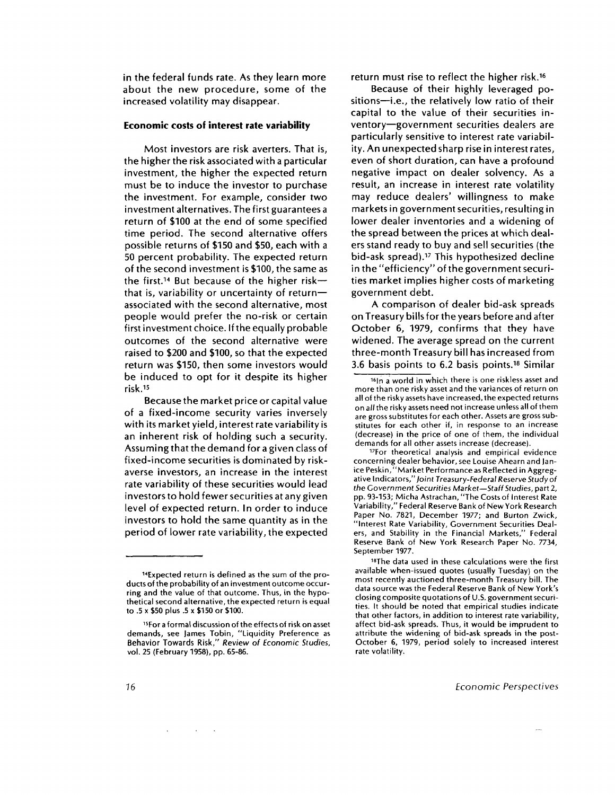in the federal funds rate. As they learn more about the new procedure, some of the increased volatility may disappear.

### **Economic costs of interest rate variability**

Most investors are risk averters. That is, the higher the risk associated with a particular investment, the higher the expected return must be to induce the investor to purchase the investment. For example, consider two investment alternatives. The first guarantees a return of \$100 at the end of some specified time period. The second alternative offers possible returns of \$150 and \$50, each with a 50 percent probability. The expected return of the second investment is \$100, the same as the first.<sup>14</sup> But because of the higher riskthat is, variability or uncertainty of return associated with the second alternative, most people would prefer the no-risk or certain first investment choice. If the equally probable outcomes of the second alternative were raised to \$200 and \$100, so that the expected return was \$150, then some investors would be induced to opt for it despite its higher risk. <sup>15</sup>

Because the market price or capital value of a fixed-income security varies inversely with its market yield, interest rate variability is an inherent risk of holding such a security. Assuming that the demand for a given class of fixed-income securities is dominated by riskaverse investors, an increase in the interest rate variability of these securities would lead investors to hold fewer securities at any given level of expected return. In order to induce investors to hold the same quantity as in the period of lower rate variability, the expected

 $\sim 10^{-1}$ 

return must rise to reflect the higher risk. <sup>16</sup>

Because of their highly leveraged positions—i.e., the relatively low ratio of their capital to the value of their securities inventory—government securities dealers are particularly sensitive to interest rate variability. An unexpected sharp rise in interest rates, even of short duration, can have a profound negative impact on dealer solvency. As a result, an increase in interest rate volatility may reduce dealers' willingness to make markets in government securities, resulting in lower dealer inventories and a widening of the spread between the prices at which dealers stand ready to buy and sell securities (the bid-ask spread).<sup>17</sup> This hypothesized decline in the "efficiency" of the government securities market implies higher costs of marketing government debt.

A comparison of dealer bid-ask spreads on Treasury bills for the years before and after October 6, 1979, confirms that they have widened. The average spread on the current three-month Treasury bill has increased from 3.6 basis points to 6.2 basis points." Similar

<sup>17</sup>For theoretical analysis and empirical evidence concerning dealer behavior, see Louise Ahearn and Janice Peskin,"Market Performance as Reflected in Aggregative Indicators," Joint Treasury-Federal Reserve Study of *the Government Securities Market—Staff Studies,* part 2, pp. 93-153; Micha Astrachan, "The Costs of Interest Rate Variability," Federal Reserve Bank of New York Research Paper No. 7821, December 1977; and Burton Zwick, "Interest Rate Variability, Government Securities Dealers, and Stability in the Financial Markets," Federal Reserve Bank of New York Research Paper No. 7734, September 1977.

<sup>14</sup> Expected return is defined as the sum of the products of the probability of an investment outcome occurring and the value of that outcome. Thus, in the hypothetical second alternative, the expected return is equal to .5 x \$50 plus .5 x \$150 or \$100.

<sup>15</sup> For a formal discussion of the effects of risk on asset demands, see James Tobin, "Liquidity Preference as Behavior Towards Risk," *Review of Economic Studies,* vol. 25 (February 1958), pp. 65-86.

 $\frac{16}{10}$  a world in which there is one riskless asset and more than one risky asset and the variances of return on all of the risky assets have increased, the expected returns on *all* the risky assets need not increase unless all of them are gross substitutes for each other. Assets are gross substitutes for each other if, in response to an increase (decrease) in the price of one of them, the individual demands for all other assets increase (decrease).

<sup>18</sup> The data used in these calculations were the first available when-issued quotes (usually Tuesday) on the most recently auctioned three-month Treasury bill. The data source was the Federal Reserve Bank of New York's closing composite quotations of U.S. government securities. It should be noted that empirical studies indicate that other factors, in addition to interest rate variability, affect bid-ask spreads. Thus, it would be imprudent to attribute the widening of bid-ask spreads in the post-October 6, 1979, period solely to increased interest rate volatility.